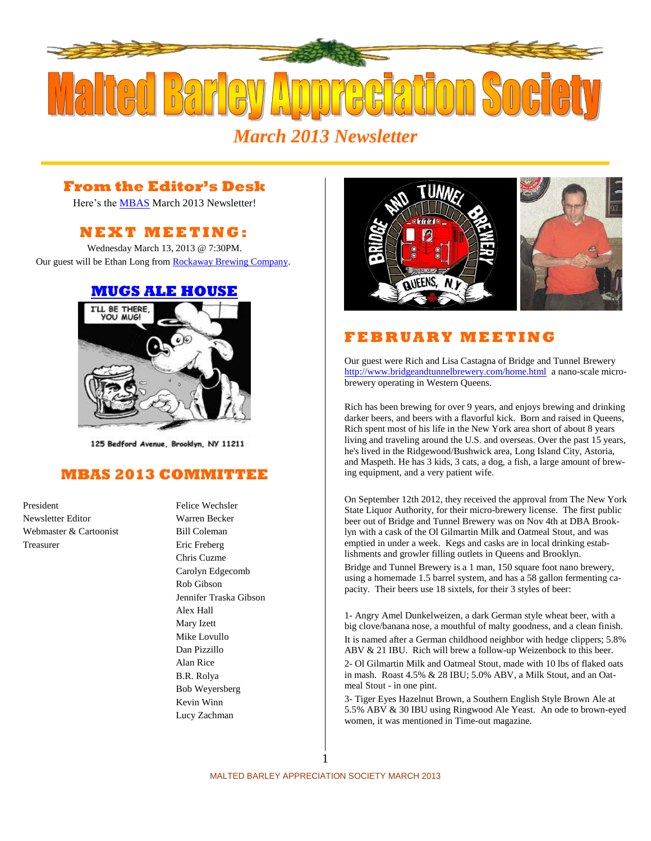

## **From the Editor's Desk**

Here's the **MBAS** March 2013 Newsletter!

# **N E X T M E ETI N G :**

Wednesday March 13, 2013 @ 7:30PM. Our guest will be Ethan Long fro[m Rockaway Brewing Company.](http://rockawaybrewco.com/)

#### **[MUGS ALE HOUSE](http://www.mugsalehouse.com/)**



125 Bedford Avenue, Brooklyn, NY 11211

## **MBAS 2013 COMMITTEE**

President Felice Wechsler Newsletter Editor Warren Becker Webmaster & Cartoonist Bill Coleman Treasurer Eric Freberg

Chris Cuzme Carolyn Edgecomb Rob Gibson Jennifer Traska Gibson Alex Hall Mary Izett Mike Lovullo Dan Pizzillo Alan Rice B.R. Rolya Bob Weyersberg Kevin Winn Lucy Zachman



# **F E B R U A R Y M E E T I N G**

Our guest were Rich and Lisa Castagna of Bridge and Tunnel Brewery <http://www.bridgeandtunnelbrewery.com/home.html> a nano-scale microbrewery operating in Western Queens.

Rich has been brewing for over 9 years, and enjoys brewing and drinking darker beers, and beers with a flavorful kick. Born and raised in Queens, Rich spent most of his life in the New York area short of about 8 years living and traveling around the U.S. and overseas. Over the past 15 years, he's lived in the Ridgewood/Bushwick area, Long Island City, Astoria, and Maspeth. He has 3 kids, 3 cats, a dog, a fish, a large amount of brewing equipment, and a very patient wife.

On September 12th 2012, they received the approval from The New York State Liquor Authority, for their micro-brewery license. The first public beer out of Bridge and Tunnel Brewery was on Nov 4th at DBA Brooklyn with a cask of the Ol Gilmartin Milk and Oatmeal Stout, and was emptied in under a week. Kegs and casks are in local drinking establishments and growler filling outlets in Queens and Brooklyn.

Bridge and Tunnel Brewery is a 1 man, 150 square foot nano brewery, using a homemade 1.5 barrel system, and has a 58 gallon fermenting capacity. Their beers use 18 sixtels, for their 3 styles of beer:

1- Angry Amel Dunkelweizen, a dark German style wheat beer, with a big clove/banana nose, a mouthful of malty goodness, and a clean finish. It is named after a German childhood neighbor with hedge clippers; 5.8% ABV & 21 IBU. Rich will brew a follow-up Weizenbock to this beer. 2- Ol Gilmartin Milk and Oatmeal Stout, made with 10 lbs of flaked oats in mash. Roast 4.5% & 28 IBU; 5.0% ABV, a Milk Stout, and an Oatmeal Stout - in one pint.

3- Tiger Eyes Hazelnut Brown, a Southern English Style Brown Ale at 5.5% ABV & 30 IBU using Ringwood Ale Yeast. An ode to brown-eyed women, it was mentioned in Time-out magazine.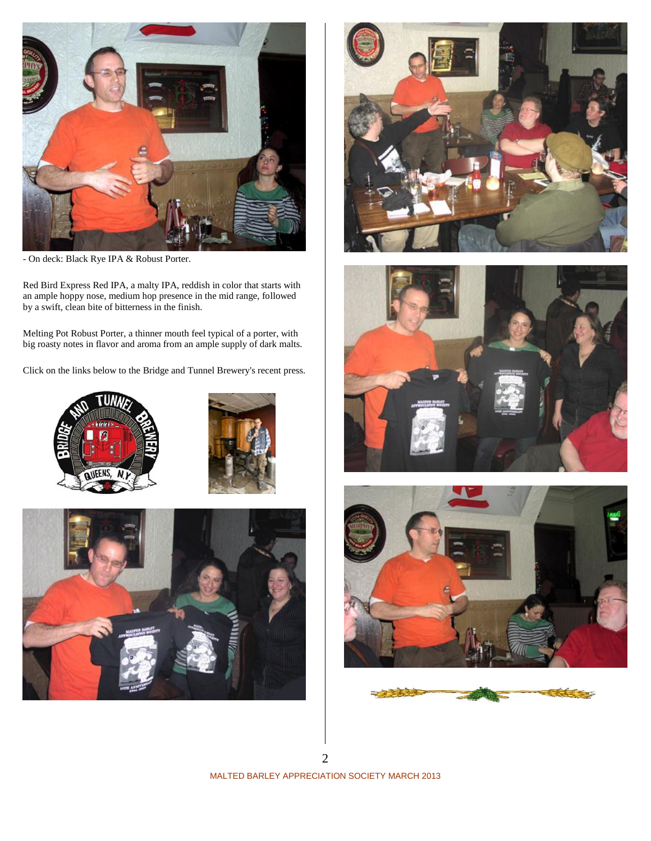

- On deck: Black Rye IPA & Robust Porter.

Red Bird Express Red IPA, a malty IPA, reddish in color that starts with an ample hoppy nose, medium hop presence in the mid range, followed by a swift, clean bite of bitterness in the finish.

Melting Pot Robust Porter, a thinner mouth feel typical of a porter, with big roasty notes in flavor and aroma from an ample supply of dark malts.

Click on the links below to the Bridge and Tunnel Brewery's recent press.













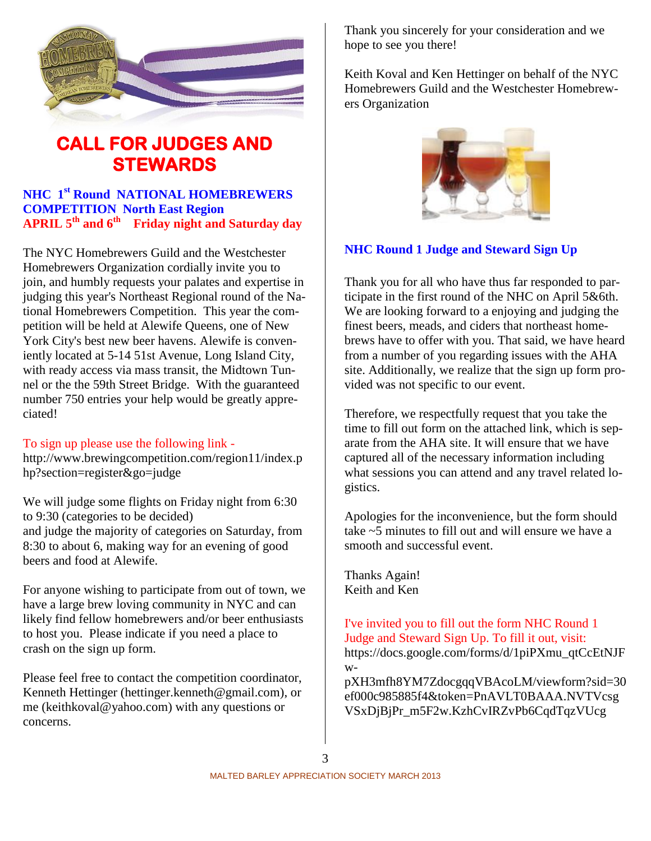

# **CALL FOR JUDGES AND STEWARDS**

#### **NHC 1 st Round NATIONAL HOMEBREWERS COMPETITION North East Region APRIL 5th and 6th Friday night and Saturday day**

The NYC Homebrewers Guild and the Westchester Homebrewers Organization cordially invite you to join, and humbly requests your palates and expertise in judging this year's Northeast Regional round of the National Homebrewers Competition. This year the competition will be held at [Alewife Queens,](http://alewifequeens.com/) one of New York City's best new beer havens. Alewife is conveniently located at 5-14 51st Avenue, Long Island City, with ready access via mass transit, the Midtown Tunnel or the the 59th Street Bridge. With the guaranteed number 750 entries your help would be greatly appreciated!

#### To sign up please use the following link -

[http://www.brewingcompetition.com/region11/index.p](http://www.brewingcompetition.com/region11/index.php?section=register&go=judge) [hp?section=register&go=judge](http://www.brewingcompetition.com/region11/index.php?section=register&go=judge)

We will judge some flights on Friday night from 6:30 to 9:30 (categories to be decided) and judge the majority of categories on Saturday, from 8:30 to about 6, making way for an evening of good beers and food at Alewife.

For anyone wishing to participate from out of town, we have a large brew loving community in NYC and can likely find fellow homebrewers and/or beer enthusiasts to host you. Please indicate if you need a place to crash on the sign up form.

Please feel free to contact the competition coordinator, Kenneth Hettinger [\(hettinger.kenneth@gmail.com\)](mailto:hettinger.kenneth@gmail.com), or me [\(keithkoval@yahoo.com\)](mailto:keithkoval@yahoo.com) with any questions or concerns.

Thank you sincerely for your consideration and we hope to see you there!

Keith Koval and Ken Hettinger on behalf of the NYC Homebrewers Guild and the Westchester Homebrewers Organization



#### **NHC Round 1 Judge and Steward Sign Up**

Thank you for all who have thus far responded to participate in the first round of the NHC on April 5&6th. We are looking forward to a enjoying and judging the finest beers, meads, and ciders that northeast homebrews have to offer with you. That said, we have heard from a number of you regarding issues with the AHA site. Additionally, we realize that the sign up form provided was not specific to our event.

Therefore, we respectfully request that you take the time to fill out form on the attached link, which is separate from the AHA site. It will ensure that we have captured all of the necessary information including what sessions you can attend and any travel related logistics.

Apologies for the inconvenience, but the form should take ~5 minutes to fill out and will ensure we have a smooth and successful event.

Thanks Again! Keith and Ken

I've invited you to fill out the form NHC Round 1 Judge and Steward Sign Up. To fill it out, visit: [https://docs.google.com/forms/d/1piPXmu\\_qtCcEtNJF](https://docs.google.com/forms/d/1piPXmu_qtCcEtNJFw-pXH3mfh8YM7ZdocgqqVBAcoLM/viewform?sid=30ef000c985885f4&token=PnAVLT0BAAA.NVTVcsgVSxDjBjPr_m5F2w.KzhCvIRZvPb6CqdTqzVUcg) [w-](https://docs.google.com/forms/d/1piPXmu_qtCcEtNJFw-pXH3mfh8YM7ZdocgqqVBAcoLM/viewform?sid=30ef000c985885f4&token=PnAVLT0BAAA.NVTVcsgVSxDjBjPr_m5F2w.KzhCvIRZvPb6CqdTqzVUcg)

[pXH3mfh8YM7ZdocgqqVBAcoLM/viewform?sid=30](https://docs.google.com/forms/d/1piPXmu_qtCcEtNJFw-pXH3mfh8YM7ZdocgqqVBAcoLM/viewform?sid=30ef000c985885f4&token=PnAVLT0BAAA.NVTVcsgVSxDjBjPr_m5F2w.KzhCvIRZvPb6CqdTqzVUcg) [ef000c985885f4&token=PnAVLT0BAAA.NVTVcsg](https://docs.google.com/forms/d/1piPXmu_qtCcEtNJFw-pXH3mfh8YM7ZdocgqqVBAcoLM/viewform?sid=30ef000c985885f4&token=PnAVLT0BAAA.NVTVcsgVSxDjBjPr_m5F2w.KzhCvIRZvPb6CqdTqzVUcg) [VSxDjBjPr\\_m5F2w.KzhCvIRZvPb6CqdTqzVUcg](https://docs.google.com/forms/d/1piPXmu_qtCcEtNJFw-pXH3mfh8YM7ZdocgqqVBAcoLM/viewform?sid=30ef000c985885f4&token=PnAVLT0BAAA.NVTVcsgVSxDjBjPr_m5F2w.KzhCvIRZvPb6CqdTqzVUcg)